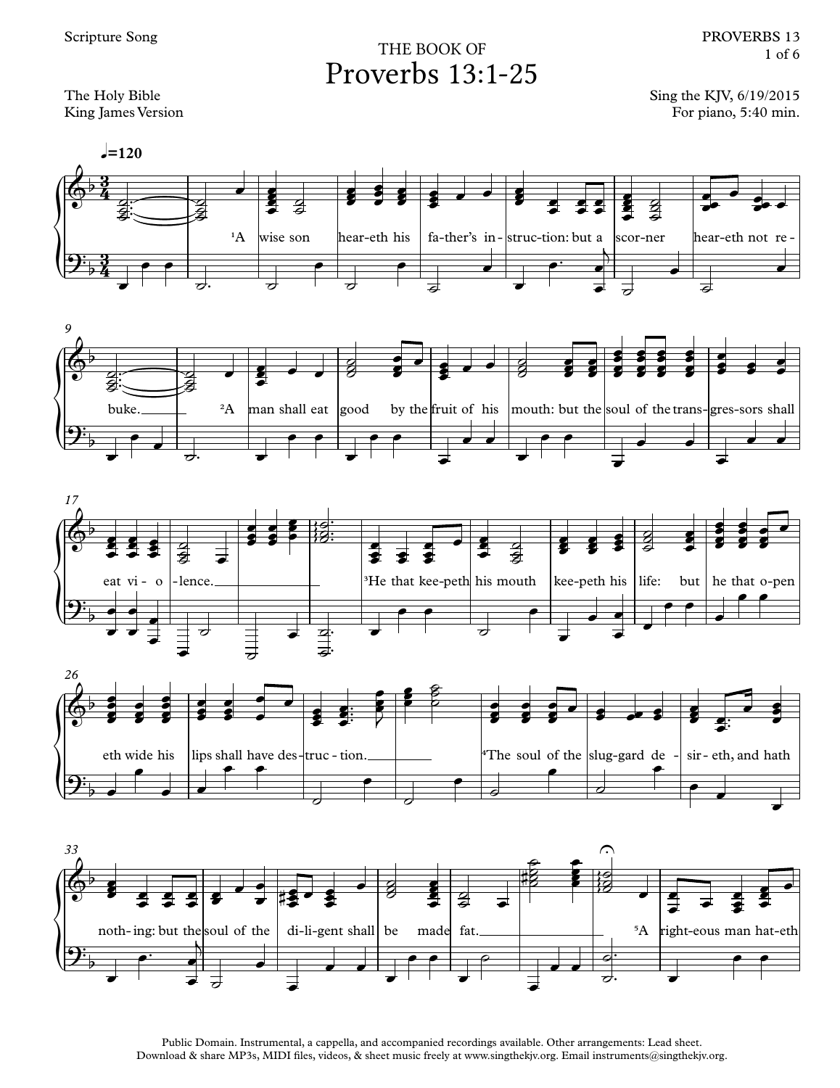The Holy Bible King James Version

## Proverbs 13:1-25 THE BOOK OF

Sing the KJV, 6/19/2015 For piano, 5:40 min.











Public Domain. Instrumental, a cappella, and accompanied recordings available. Other arrangements: Lead sheet. Download & share MP3s, MIDI files, videos, & sheet music freely at www.singthekjv.org. Email instruments@singthekjv.org.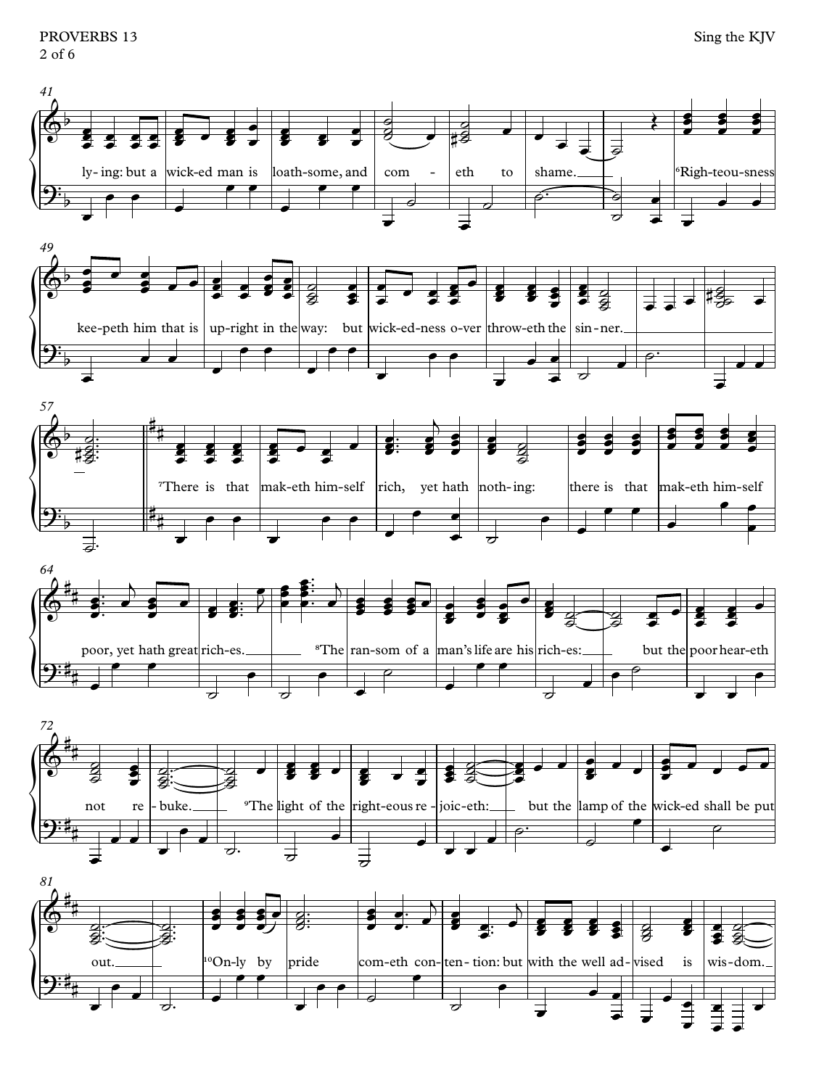PROVERBS 13  $2$  of 6











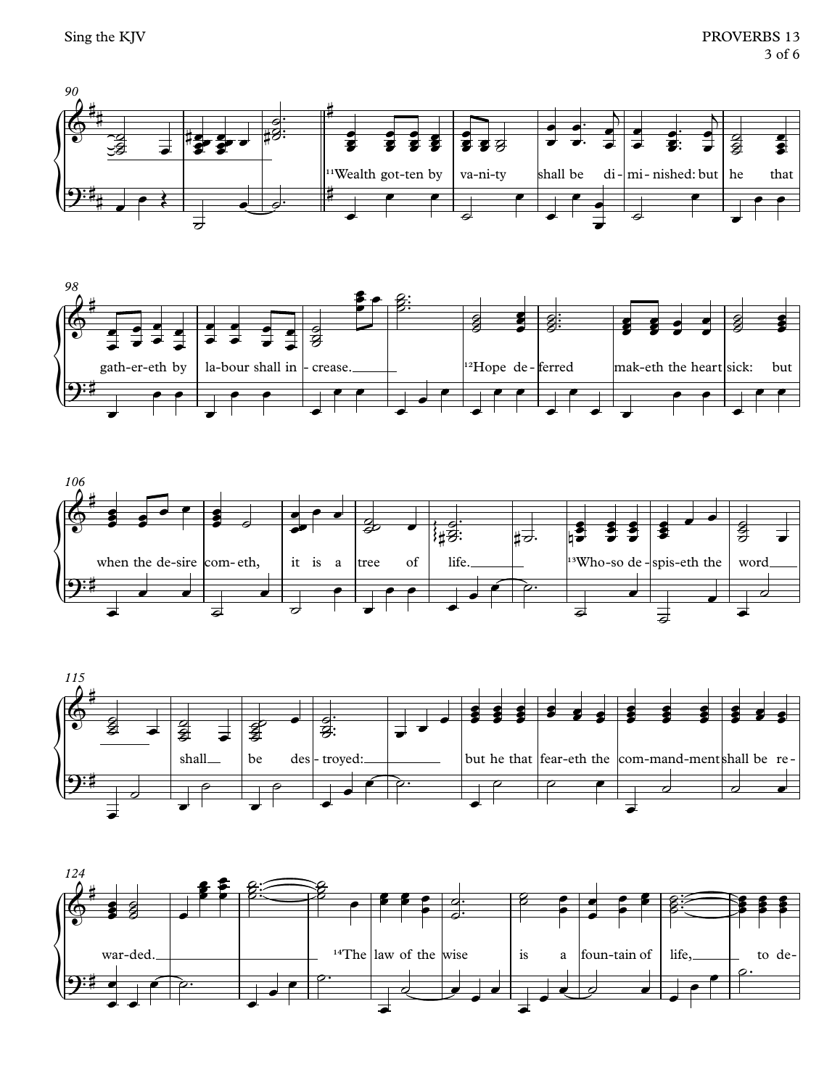







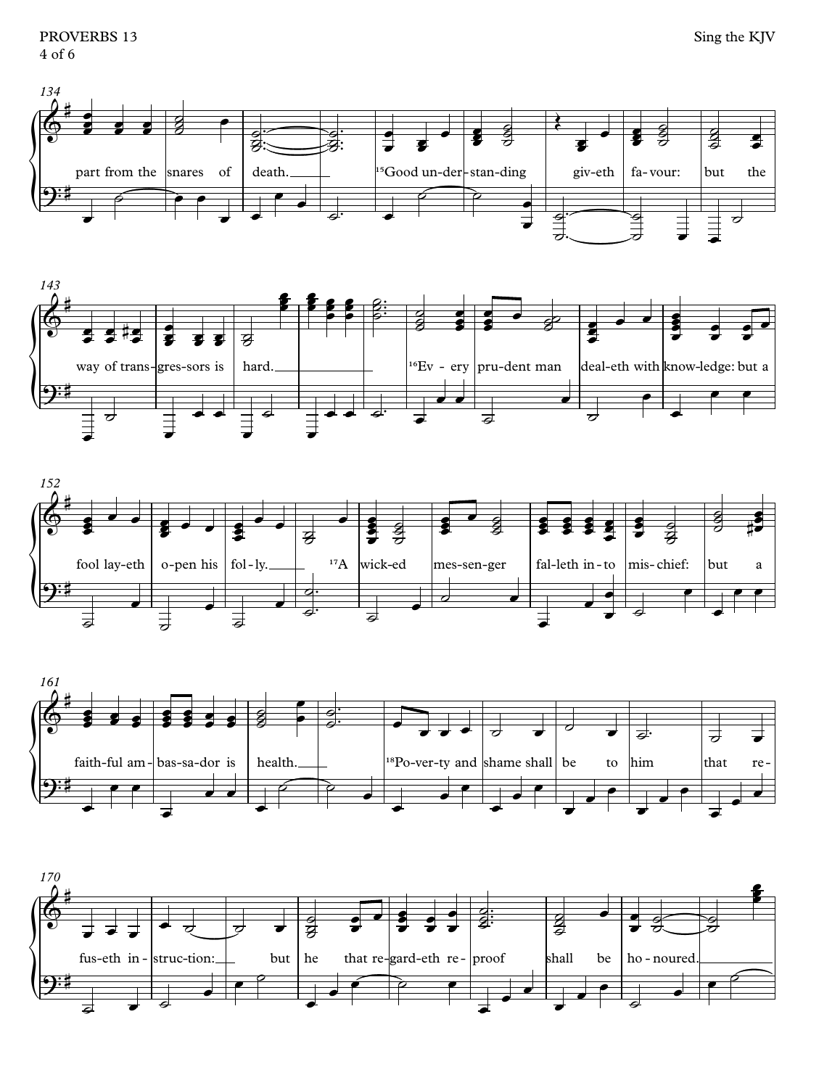







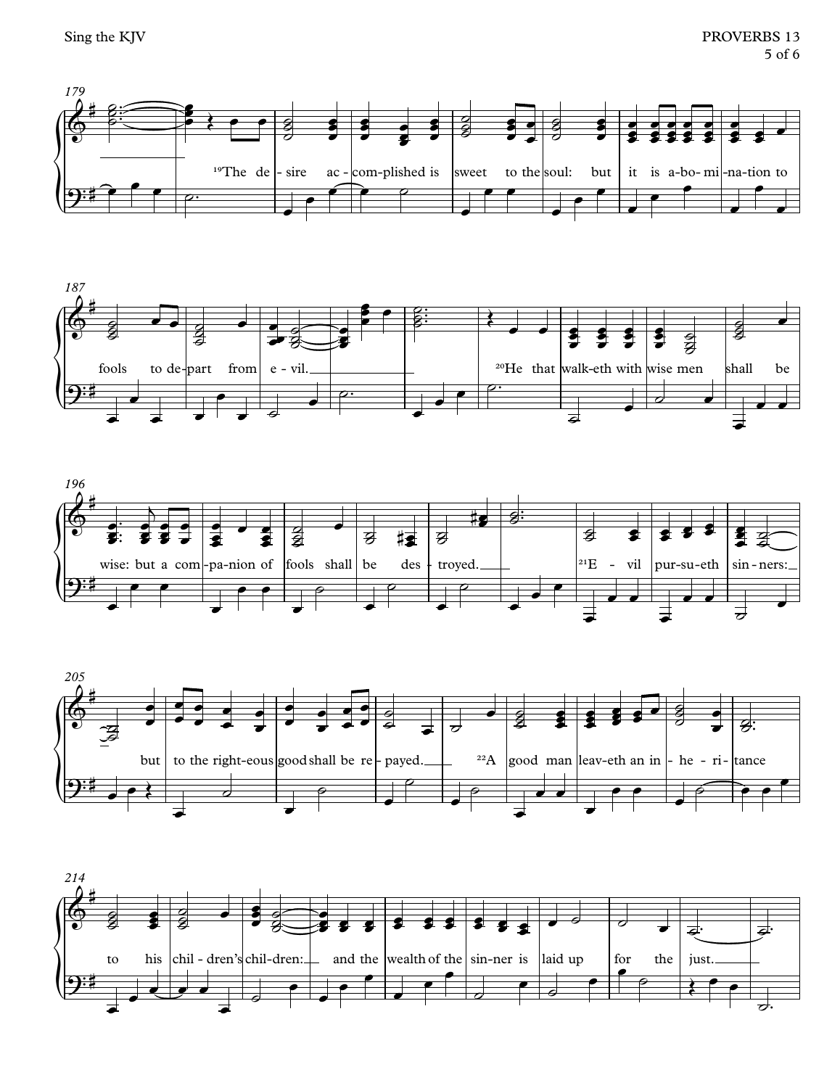